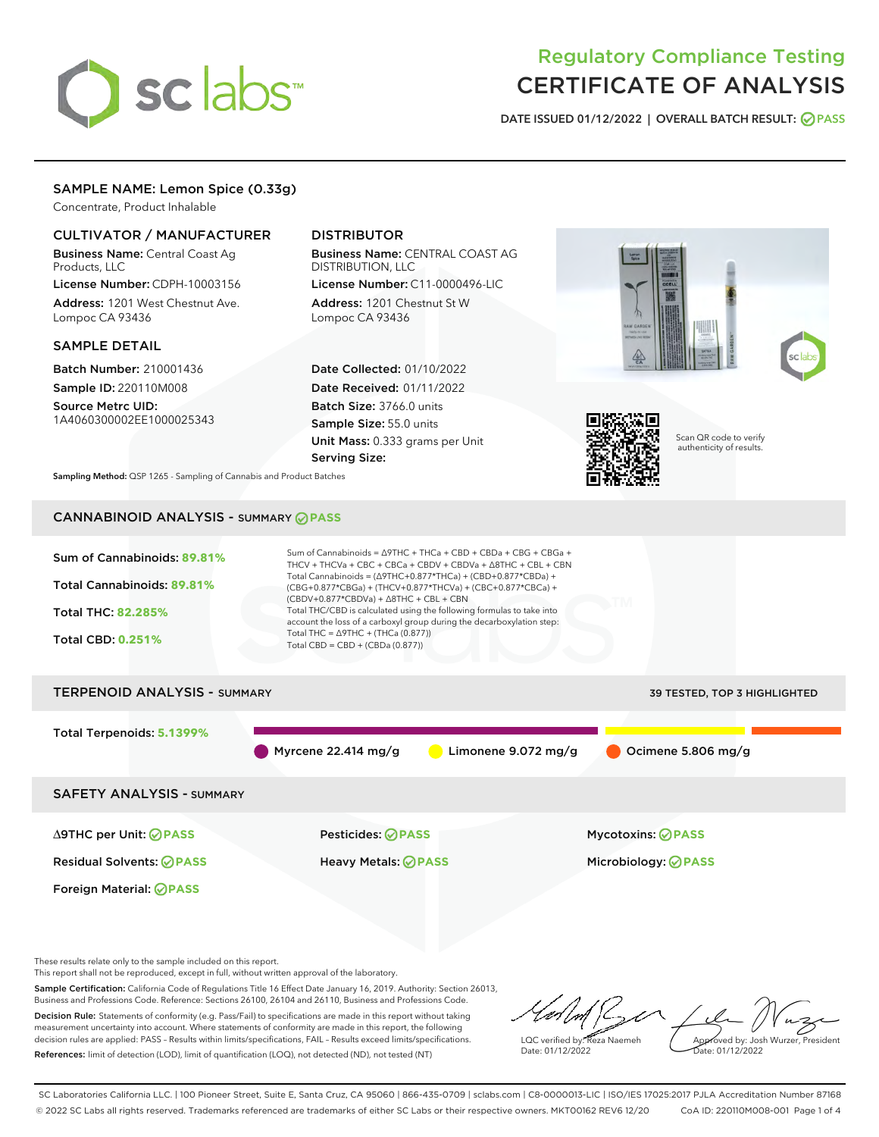# sclabs

# Regulatory Compliance Testing CERTIFICATE OF ANALYSIS

DATE ISSUED 01/12/2022 | OVERALL BATCH RESULT: @ PASS

# SAMPLE NAME: Lemon Spice (0.33g)

Concentrate, Product Inhalable

# CULTIVATOR / MANUFACTURER

Business Name: Central Coast Ag Products, LLC

License Number: CDPH-10003156 Address: 1201 West Chestnut Ave. Lompoc CA 93436

## SAMPLE DETAIL

Batch Number: 210001436 Sample ID: 220110M008 Source Metrc UID:

1A4060300002EE1000025343

# DISTRIBUTOR

Business Name: CENTRAL COAST AG DISTRIBUTION, LLC License Number: C11-0000496-LIC

Address: 1201 Chestnut St W Lompoc CA 93436

Date Collected: 01/10/2022 Date Received: 01/11/2022 Batch Size: 3766.0 units Sample Size: 55.0 units Unit Mass: 0.333 grams per Unit Serving Size:





Scan QR code to verify authenticity of results.

Sampling Method: QSP 1265 - Sampling of Cannabis and Product Batches

# CANNABINOID ANALYSIS - SUMMARY **PASS**



These results relate only to the sample included on this report.

This report shall not be reproduced, except in full, without written approval of the laboratory.

Sample Certification: California Code of Regulations Title 16 Effect Date January 16, 2019. Authority: Section 26013, Business and Professions Code. Reference: Sections 26100, 26104 and 26110, Business and Professions Code. Decision Rule: Statements of conformity (e.g. Pass/Fail) to specifications are made in this report without taking measurement uncertainty into account. Where statements of conformity are made in this report, the following

decision rules are applied: PASS – Results within limits/specifications, FAIL – Results exceed limits/specifications. References: limit of detection (LOD), limit of quantification (LOQ), not detected (ND), not tested (NT)

LQC verified by: Reza Naemeh Date: 01/12/2022 Approved by: Josh Wurzer, President ate: 01/12/2022

SC Laboratories California LLC. | 100 Pioneer Street, Suite E, Santa Cruz, CA 95060 | 866-435-0709 | sclabs.com | C8-0000013-LIC | ISO/IES 17025:2017 PJLA Accreditation Number 87168 © 2022 SC Labs all rights reserved. Trademarks referenced are trademarks of either SC Labs or their respective owners. MKT00162 REV6 12/20 CoA ID: 220110M008-001 Page 1 of 4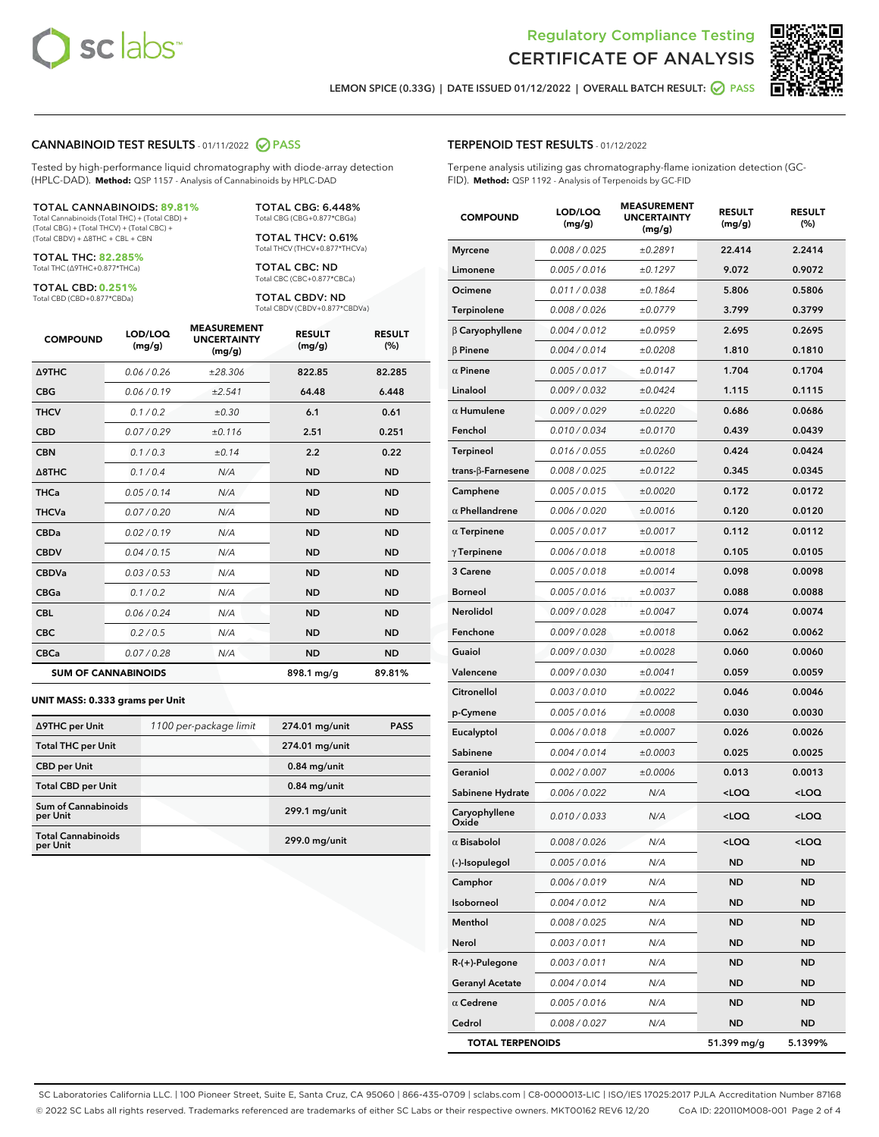



LEMON SPICE (0.33G) | DATE ISSUED 01/12/2022 | OVERALL BATCH RESULT: @ PASS

#### CANNABINOID TEST RESULTS - 01/11/2022 2 PASS

Tested by high-performance liquid chromatography with diode-array detection (HPLC-DAD). **Method:** QSP 1157 - Analysis of Cannabinoids by HPLC-DAD

#### TOTAL CANNABINOIDS: **89.81%**

Total Cannabinoids (Total THC) + (Total CBD) + (Total CBG) + (Total THCV) + (Total CBC) + (Total CBDV) + ∆8THC + CBL + CBN

TOTAL THC: **82.285%** Total THC (∆9THC+0.877\*THCa)

TOTAL CBD: **0.251%**

Total CBD (CBD+0.877\*CBDa)

TOTAL CBG: 6.448% Total CBG (CBG+0.877\*CBGa)

TOTAL THCV: 0.61% Total THCV (THCV+0.877\*THCVa)

TOTAL CBC: ND Total CBC (CBC+0.877\*CBCa)

TOTAL CBDV: ND Total CBDV (CBDV+0.877\*CBDVa)

| <b>COMPOUND</b>            | LOD/LOQ<br>(mg/g) | <b>MEASUREMENT</b><br><b>UNCERTAINTY</b><br>(mg/g) | <b>RESULT</b><br>(mg/g) | <b>RESULT</b><br>(%) |
|----------------------------|-------------------|----------------------------------------------------|-------------------------|----------------------|
| Δ9THC                      | 0.06 / 0.26       | ±28.306                                            | 822.85                  | 82.285               |
| <b>CBG</b>                 | 0.06/0.19         | ±2.541                                             | 64.48                   | 6.448                |
| <b>THCV</b>                | 0.1/0.2           | ±0.30                                              | 6.1                     | 0.61                 |
| <b>CBD</b>                 | 0.07/0.29         | ±0.116                                             | 2.51                    | 0.251                |
| <b>CBN</b>                 | 0.1/0.3           | ±0.14                                              | 2.2                     | 0.22                 |
| $\triangle$ 8THC           | 0.1/0.4           | N/A                                                | <b>ND</b>               | <b>ND</b>            |
| <b>THCa</b>                | 0.05/0.14         | N/A                                                | <b>ND</b>               | <b>ND</b>            |
| <b>THCVa</b>               | 0.07/0.20         | N/A                                                | <b>ND</b>               | <b>ND</b>            |
| <b>CBDa</b>                | 0.02 / 0.19       | N/A                                                | <b>ND</b>               | <b>ND</b>            |
| <b>CBDV</b>                | 0.04 / 0.15       | N/A                                                | <b>ND</b>               | <b>ND</b>            |
| <b>CBDVa</b>               | 0.03/0.53         | N/A                                                | <b>ND</b>               | <b>ND</b>            |
| <b>CBGa</b>                | 0.1 / 0.2         | N/A                                                | <b>ND</b>               | <b>ND</b>            |
| <b>CBL</b>                 | 0.06 / 0.24       | N/A                                                | <b>ND</b>               | <b>ND</b>            |
| <b>CBC</b>                 | 0.2 / 0.5         | N/A                                                | <b>ND</b>               | <b>ND</b>            |
| <b>CBCa</b>                | 0.07 / 0.28       | N/A                                                | <b>ND</b>               | <b>ND</b>            |
| <b>SUM OF CANNABINOIDS</b> |                   |                                                    | 898.1 mg/g              | 89.81%               |

#### **UNIT MASS: 0.333 grams per Unit**

| ∆9THC per Unit                         | 1100 per-package limit | 274.01 mg/unit | <b>PASS</b> |
|----------------------------------------|------------------------|----------------|-------------|
| <b>Total THC per Unit</b>              |                        | 274.01 mg/unit |             |
| <b>CBD</b> per Unit                    |                        | $0.84$ mg/unit |             |
| <b>Total CBD per Unit</b>              |                        | $0.84$ mg/unit |             |
| <b>Sum of Cannabinoids</b><br>per Unit |                        | 299.1 mg/unit  |             |
| <b>Total Cannabinoids</b><br>per Unit  |                        | 299.0 mg/unit  |             |

| <b>COMPOUND</b>          | LOD/LOQ<br>(mg/g) | ASUREIVI<br><b>UNCERTAINTY</b><br>(mg/g) | <b>RESULT</b><br>(mg/g)                         | <b>RESULT</b><br>(%) |
|--------------------------|-------------------|------------------------------------------|-------------------------------------------------|----------------------|
| <b>Myrcene</b>           | 0.008 / 0.025     | ±0.2891                                  | 22.414                                          | 2.2414               |
| Limonene                 | 0.005 / 0.016     | ±0.1297                                  | 9.072                                           | 0.9072               |
| Ocimene                  | 0.011 / 0.038     | ±0.1864                                  | 5.806                                           | 0.5806               |
| Terpinolene              | 0.008 / 0.026     | ±0.0779                                  | 3.799                                           | 0.3799               |
| $\beta$ Caryophyllene    | 0.004 / 0.012     | ±0.0959                                  | 2.695                                           | 0.2695               |
| $\beta$ Pinene           | 0.004 / 0.014     | ±0.0208                                  | 1.810                                           | 0.1810               |
| $\alpha$ Pinene          | 0.005 / 0.017     | ±0.0147                                  | 1.704                                           | 0.1704               |
| Linalool                 | 0.009 / 0.032     | ±0.0424                                  | 1.115                                           | 0.1115               |
| $\alpha$ Humulene        | 0.009 / 0.029     | ±0.0220                                  | 0.686                                           | 0.0686               |
| Fenchol                  | 0.010 / 0.034     | ±0.0170                                  | 0.439                                           | 0.0439               |
| Terpineol                | 0.016 / 0.055     | ±0.0260                                  | 0.424                                           | 0.0424               |
| $trans-\beta$ -Farnesene | 0.008 / 0.025     | ±0.0122                                  | 0.345                                           | 0.0345               |
| Camphene                 | 0.005 / 0.015     | ±0.0020                                  | 0.172                                           | 0.0172               |
| $\alpha$ Phellandrene    | 0.006 / 0.020     | ±0.0016                                  | 0.120                                           | 0.0120               |
| $\alpha$ Terpinene       | 0.005 / 0.017     | ±0.0017                                  | 0.112                                           | 0.0112               |
| $\gamma$ Terpinene       | 0.006 / 0.018     | ±0.0018                                  | 0.105                                           | 0.0105               |
| 3 Carene                 | 0.005 / 0.018     | ±0.0014                                  | 0.098                                           | 0.0098               |
| <b>Borneol</b>           | 0.005 / 0.016     | ±0.0037                                  | 0.088                                           | 0.0088               |
| <b>Nerolidol</b>         | 0.009/0.028       | ±0.0047                                  | 0.074                                           | 0.0074               |
| Fenchone                 | 0.009 / 0.028     | ±0.0018                                  | 0.062                                           | 0.0062               |
| Guaiol                   | 0.009 / 0.030     | ±0.0028                                  | 0.060                                           | 0.0060               |
| Valencene                | 0.009 / 0.030     | ±0.0041                                  | 0.059                                           | 0.0059               |
| Citronellol              | 0.003 / 0.010     | ±0.0022                                  | 0.046                                           | 0.0046               |
| p-Cymene                 | 0.005 / 0.016     | ±0.0008                                  | 0.030                                           | 0.0030               |
| Eucalyptol               | 0.006 / 0.018     | ±0.0007                                  | 0.026                                           | 0.0026               |
| Sabinene                 | 0.004 / 0.014     | ±0.0003                                  | 0.025                                           | 0.0025               |
| Geraniol                 | 0.002 / 0.007     | ±0.0006                                  | 0.013                                           | 0.0013               |
| Sabinene Hydrate         | 0.006 / 0.022     | N/A                                      | <loq< th=""><th><loq< th=""></loq<></th></loq<> | <loq< th=""></loq<>  |
| Caryophyllene<br>Oxide   | 0.010 / 0.033     | N/A                                      | <loq< th=""><th><loq< th=""></loq<></th></loq<> | <loq< th=""></loq<>  |
| $\alpha$ Bisabolol       | 0.008 / 0.026     | N/A                                      | <loq< th=""><th><loq< th=""></loq<></th></loq<> | <loq< th=""></loq<>  |
| (-)-Isopulegol           | 0.005 / 0.016     | N/A                                      | <b>ND</b>                                       | ND                   |
| Camphor                  | 0.006 / 0.019     | N/A                                      | ND                                              | ND                   |
| Isoborneol               | 0.004 / 0.012     | N/A                                      | ND                                              | ND                   |
| Menthol                  | 0.008 / 0.025     | N/A                                      | ND                                              | ND                   |
| Nerol                    | 0.003 / 0.011     | N/A                                      | ND                                              | ND                   |
| R-(+)-Pulegone           | 0.003 / 0.011     | N/A                                      | ND                                              | ND                   |
| <b>Geranyl Acetate</b>   | 0.004 / 0.014     | N/A                                      | ND                                              | ND                   |
| $\alpha$ Cedrene         | 0.005 / 0.016     | N/A                                      | ND                                              | ND                   |
| Cedrol                   | 0.008 / 0.027     | N/A                                      | ND                                              | ND                   |
| <b>TOTAL TERPENOIDS</b>  |                   |                                          | 51.399 mg/g                                     | 5.1399%              |

SC Laboratories California LLC. | 100 Pioneer Street, Suite E, Santa Cruz, CA 95060 | 866-435-0709 | sclabs.com | C8-0000013-LIC | ISO/IES 17025:2017 PJLA Accreditation Number 87168 © 2022 SC Labs all rights reserved. Trademarks referenced are trademarks of either SC Labs or their respective owners. MKT00162 REV6 12/20 CoA ID: 220110M008-001 Page 2 of 4

# TERPENOID TEST RESULTS - 01/12/2022

Terpene analysis utilizing gas chromatography-flame ionization detection (GC-FID). **Method:** QSP 1192 - Analysis of Terpenoids by GC-FID

MEACUREMENT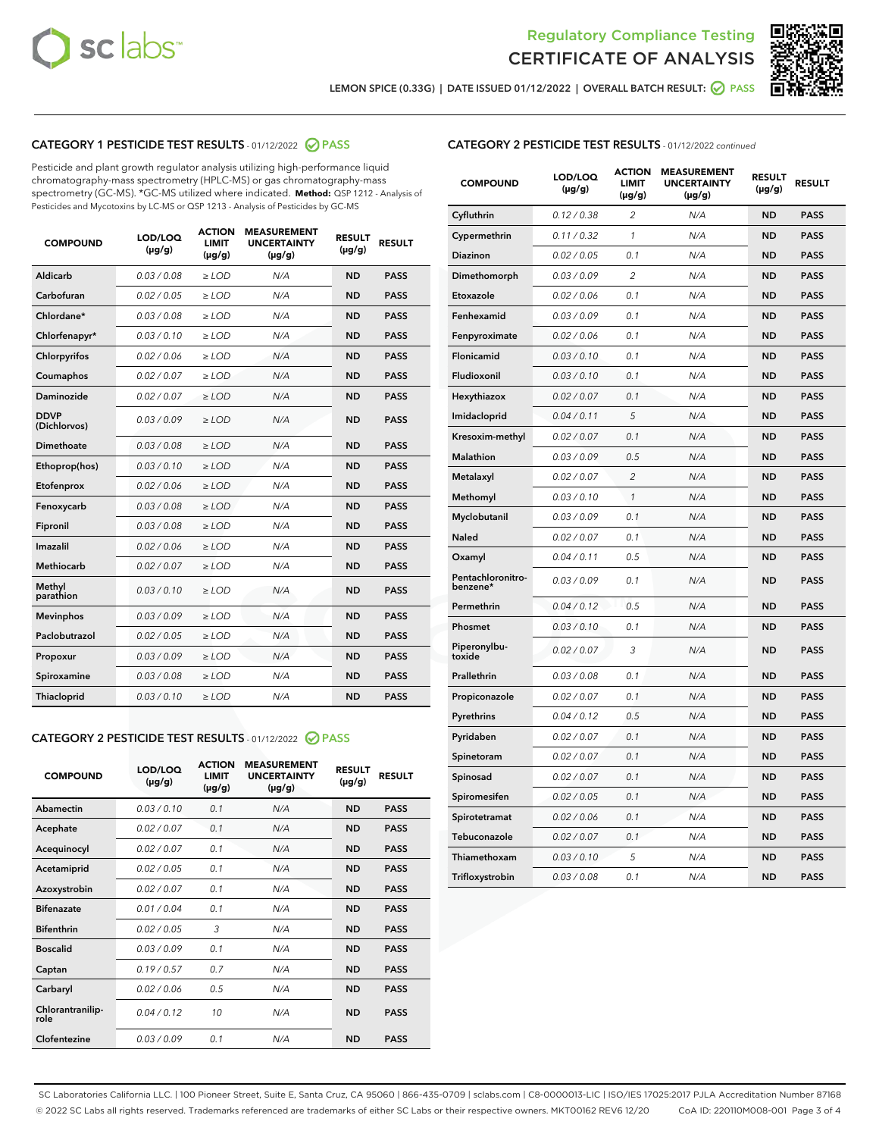



LEMON SPICE (0.33G) | DATE ISSUED 01/12/2022 | OVERALL BATCH RESULT:  $\bigcirc$  PASS

# CATEGORY 1 PESTICIDE TEST RESULTS - 01/12/2022 @ PASS

Pesticide and plant growth regulator analysis utilizing high-performance liquid chromatography-mass spectrometry (HPLC-MS) or gas chromatography-mass spectrometry (GC-MS). \*GC-MS utilized where indicated. **Method:** QSP 1212 - Analysis of Pesticides and Mycotoxins by LC-MS or QSP 1213 - Analysis of Pesticides by GC-MS

| 0.03/0.08<br><b>ND</b><br>Aldicarb<br>$>$ LOD<br>N/A<br><b>PASS</b><br>Carbofuran<br>0.02 / 0.05<br><b>ND</b><br><b>PASS</b><br>$>$ LOD<br>N/A<br>Chlordane*<br>0.03 / 0.08<br>N/A<br><b>ND</b><br><b>PASS</b><br>$\ge$ LOD<br>Chlorfenapyr*<br>0.03/0.10<br><b>ND</b><br><b>PASS</b><br>$\ge$ LOD<br>N/A<br>N/A<br><b>ND</b><br><b>PASS</b><br>Chlorpyrifos<br>0.02 / 0.06<br>$\ge$ LOD<br>Coumaphos<br>0.02 / 0.07<br>N/A<br><b>ND</b><br><b>PASS</b><br>$\ge$ LOD<br>Daminozide<br>0.02 / 0.07<br>N/A<br><b>ND</b><br><b>PASS</b><br>$\ge$ LOD<br><b>DDVP</b><br>0.03/0.09<br>$>$ LOD<br>N/A<br><b>ND</b><br><b>PASS</b><br>(Dichlorvos)<br>Dimethoate<br>0.03/0.08<br>$>$ LOD<br>N/A<br><b>ND</b><br><b>PASS</b><br>0.03/0.10<br><b>ND</b><br><b>PASS</b><br>Ethoprop(hos)<br>$\ge$ LOD<br>N/A<br>0.02 / 0.06<br>N/A<br><b>ND</b><br><b>PASS</b><br>Etofenprox<br>$\ge$ LOD<br>Fenoxycarb<br>0.03/0.08<br>N/A<br><b>ND</b><br><b>PASS</b><br>$\ge$ LOD<br>0.03/0.08<br><b>ND</b><br><b>PASS</b><br>Fipronil<br>$\ge$ LOD<br>N/A<br>Imazalil<br>0.02 / 0.06<br>$\ge$ LOD<br>N/A<br><b>ND</b><br><b>PASS</b><br>Methiocarb<br>0.02 / 0.07<br><b>PASS</b><br>$\ge$ LOD<br>N/A<br><b>ND</b><br>Methyl<br>0.03/0.10<br>$\ge$ LOD<br>N/A<br><b>ND</b><br><b>PASS</b><br>parathion<br>0.03/0.09<br><b>ND</b><br><b>Mevinphos</b><br>$\ge$ LOD<br>N/A<br><b>PASS</b><br>Paclobutrazol<br>0.02 / 0.05<br>$\ge$ LOD<br>N/A<br><b>ND</b><br><b>PASS</b><br>0.03/0.09<br>$\ge$ LOD<br>N/A<br><b>ND</b><br><b>PASS</b><br>Propoxur<br>Spiroxamine<br>0.03/0.08<br>$\ge$ LOD<br>N/A<br><b>ND</b><br><b>PASS</b><br>0.03/0.10<br><b>ND</b><br><b>PASS</b><br><b>Thiacloprid</b><br>$\ge$ LOD<br>N/A | <b>COMPOUND</b> | LOD/LOQ<br>$(\mu g/g)$ | <b>ACTION</b><br>LIMIT<br>$(\mu g/g)$ | <b>MEASUREMENT</b><br><b>UNCERTAINTY</b><br>$(\mu g/g)$ | <b>RESULT</b><br>$(\mu g/g)$ | <b>RESULT</b> |
|------------------------------------------------------------------------------------------------------------------------------------------------------------------------------------------------------------------------------------------------------------------------------------------------------------------------------------------------------------------------------------------------------------------------------------------------------------------------------------------------------------------------------------------------------------------------------------------------------------------------------------------------------------------------------------------------------------------------------------------------------------------------------------------------------------------------------------------------------------------------------------------------------------------------------------------------------------------------------------------------------------------------------------------------------------------------------------------------------------------------------------------------------------------------------------------------------------------------------------------------------------------------------------------------------------------------------------------------------------------------------------------------------------------------------------------------------------------------------------------------------------------------------------------------------------------------------------------------------------------------------------------------------------------------------------------|-----------------|------------------------|---------------------------------------|---------------------------------------------------------|------------------------------|---------------|
|                                                                                                                                                                                                                                                                                                                                                                                                                                                                                                                                                                                                                                                                                                                                                                                                                                                                                                                                                                                                                                                                                                                                                                                                                                                                                                                                                                                                                                                                                                                                                                                                                                                                                          |                 |                        |                                       |                                                         |                              |               |
|                                                                                                                                                                                                                                                                                                                                                                                                                                                                                                                                                                                                                                                                                                                                                                                                                                                                                                                                                                                                                                                                                                                                                                                                                                                                                                                                                                                                                                                                                                                                                                                                                                                                                          |                 |                        |                                       |                                                         |                              |               |
|                                                                                                                                                                                                                                                                                                                                                                                                                                                                                                                                                                                                                                                                                                                                                                                                                                                                                                                                                                                                                                                                                                                                                                                                                                                                                                                                                                                                                                                                                                                                                                                                                                                                                          |                 |                        |                                       |                                                         |                              |               |
|                                                                                                                                                                                                                                                                                                                                                                                                                                                                                                                                                                                                                                                                                                                                                                                                                                                                                                                                                                                                                                                                                                                                                                                                                                                                                                                                                                                                                                                                                                                                                                                                                                                                                          |                 |                        |                                       |                                                         |                              |               |
|                                                                                                                                                                                                                                                                                                                                                                                                                                                                                                                                                                                                                                                                                                                                                                                                                                                                                                                                                                                                                                                                                                                                                                                                                                                                                                                                                                                                                                                                                                                                                                                                                                                                                          |                 |                        |                                       |                                                         |                              |               |
|                                                                                                                                                                                                                                                                                                                                                                                                                                                                                                                                                                                                                                                                                                                                                                                                                                                                                                                                                                                                                                                                                                                                                                                                                                                                                                                                                                                                                                                                                                                                                                                                                                                                                          |                 |                        |                                       |                                                         |                              |               |
|                                                                                                                                                                                                                                                                                                                                                                                                                                                                                                                                                                                                                                                                                                                                                                                                                                                                                                                                                                                                                                                                                                                                                                                                                                                                                                                                                                                                                                                                                                                                                                                                                                                                                          |                 |                        |                                       |                                                         |                              |               |
|                                                                                                                                                                                                                                                                                                                                                                                                                                                                                                                                                                                                                                                                                                                                                                                                                                                                                                                                                                                                                                                                                                                                                                                                                                                                                                                                                                                                                                                                                                                                                                                                                                                                                          |                 |                        |                                       |                                                         |                              |               |
|                                                                                                                                                                                                                                                                                                                                                                                                                                                                                                                                                                                                                                                                                                                                                                                                                                                                                                                                                                                                                                                                                                                                                                                                                                                                                                                                                                                                                                                                                                                                                                                                                                                                                          |                 |                        |                                       |                                                         |                              |               |
|                                                                                                                                                                                                                                                                                                                                                                                                                                                                                                                                                                                                                                                                                                                                                                                                                                                                                                                                                                                                                                                                                                                                                                                                                                                                                                                                                                                                                                                                                                                                                                                                                                                                                          |                 |                        |                                       |                                                         |                              |               |
|                                                                                                                                                                                                                                                                                                                                                                                                                                                                                                                                                                                                                                                                                                                                                                                                                                                                                                                                                                                                                                                                                                                                                                                                                                                                                                                                                                                                                                                                                                                                                                                                                                                                                          |                 |                        |                                       |                                                         |                              |               |
|                                                                                                                                                                                                                                                                                                                                                                                                                                                                                                                                                                                                                                                                                                                                                                                                                                                                                                                                                                                                                                                                                                                                                                                                                                                                                                                                                                                                                                                                                                                                                                                                                                                                                          |                 |                        |                                       |                                                         |                              |               |
|                                                                                                                                                                                                                                                                                                                                                                                                                                                                                                                                                                                                                                                                                                                                                                                                                                                                                                                                                                                                                                                                                                                                                                                                                                                                                                                                                                                                                                                                                                                                                                                                                                                                                          |                 |                        |                                       |                                                         |                              |               |
|                                                                                                                                                                                                                                                                                                                                                                                                                                                                                                                                                                                                                                                                                                                                                                                                                                                                                                                                                                                                                                                                                                                                                                                                                                                                                                                                                                                                                                                                                                                                                                                                                                                                                          |                 |                        |                                       |                                                         |                              |               |
|                                                                                                                                                                                                                                                                                                                                                                                                                                                                                                                                                                                                                                                                                                                                                                                                                                                                                                                                                                                                                                                                                                                                                                                                                                                                                                                                                                                                                                                                                                                                                                                                                                                                                          |                 |                        |                                       |                                                         |                              |               |
|                                                                                                                                                                                                                                                                                                                                                                                                                                                                                                                                                                                                                                                                                                                                                                                                                                                                                                                                                                                                                                                                                                                                                                                                                                                                                                                                                                                                                                                                                                                                                                                                                                                                                          |                 |                        |                                       |                                                         |                              |               |
|                                                                                                                                                                                                                                                                                                                                                                                                                                                                                                                                                                                                                                                                                                                                                                                                                                                                                                                                                                                                                                                                                                                                                                                                                                                                                                                                                                                                                                                                                                                                                                                                                                                                                          |                 |                        |                                       |                                                         |                              |               |
|                                                                                                                                                                                                                                                                                                                                                                                                                                                                                                                                                                                                                                                                                                                                                                                                                                                                                                                                                                                                                                                                                                                                                                                                                                                                                                                                                                                                                                                                                                                                                                                                                                                                                          |                 |                        |                                       |                                                         |                              |               |
|                                                                                                                                                                                                                                                                                                                                                                                                                                                                                                                                                                                                                                                                                                                                                                                                                                                                                                                                                                                                                                                                                                                                                                                                                                                                                                                                                                                                                                                                                                                                                                                                                                                                                          |                 |                        |                                       |                                                         |                              |               |
|                                                                                                                                                                                                                                                                                                                                                                                                                                                                                                                                                                                                                                                                                                                                                                                                                                                                                                                                                                                                                                                                                                                                                                                                                                                                                                                                                                                                                                                                                                                                                                                                                                                                                          |                 |                        |                                       |                                                         |                              |               |
|                                                                                                                                                                                                                                                                                                                                                                                                                                                                                                                                                                                                                                                                                                                                                                                                                                                                                                                                                                                                                                                                                                                                                                                                                                                                                                                                                                                                                                                                                                                                                                                                                                                                                          |                 |                        |                                       |                                                         |                              |               |

# CATEGORY 2 PESTICIDE TEST RESULTS - 01/12/2022 2 PASS

| <b>COMPOUND</b>          | LOD/LOO<br>$(\mu g/g)$ | <b>ACTION</b><br>LIMIT<br>$(\mu g/g)$ | <b>MEASUREMENT</b><br><b>UNCERTAINTY</b><br>$(\mu g/g)$ | <b>RESULT</b><br>$(\mu g/g)$ | <b>RESULT</b> |  |
|--------------------------|------------------------|---------------------------------------|---------------------------------------------------------|------------------------------|---------------|--|
| Abamectin                | 0.03/0.10              | 0.1                                   | N/A                                                     | <b>ND</b>                    | <b>PASS</b>   |  |
| Acephate                 | 0.02/0.07              | 0.1                                   | N/A                                                     | <b>ND</b>                    | <b>PASS</b>   |  |
| Acequinocyl              | 0.02/0.07              | 0.1                                   | N/A                                                     | <b>ND</b>                    | <b>PASS</b>   |  |
| Acetamiprid              | 0.02/0.05              | 0.1                                   | N/A                                                     | <b>ND</b>                    | <b>PASS</b>   |  |
| Azoxystrobin             | 0.02/0.07              | 0.1                                   | N/A                                                     | <b>ND</b>                    | <b>PASS</b>   |  |
| <b>Bifenazate</b>        | 0.01/0.04              | 0.1                                   | N/A                                                     | <b>ND</b>                    | <b>PASS</b>   |  |
| <b>Bifenthrin</b>        | 0.02/0.05              | 3                                     | N/A                                                     | <b>ND</b>                    | <b>PASS</b>   |  |
| <b>Boscalid</b>          | 0.03/0.09              | 0.1                                   | N/A                                                     | <b>ND</b>                    | <b>PASS</b>   |  |
| Captan                   | 0.19/0.57              | 0.7                                   | N/A                                                     | <b>ND</b>                    | <b>PASS</b>   |  |
| Carbaryl                 | 0.02/0.06              | 0.5                                   | N/A                                                     | <b>ND</b>                    | <b>PASS</b>   |  |
| Chlorantranilip-<br>role | 0.04/0.12              | 10                                    | N/A                                                     | <b>ND</b>                    | <b>PASS</b>   |  |
| Clofentezine             | 0.03/0.09              | 0.1                                   | N/A                                                     | <b>ND</b>                    | <b>PASS</b>   |  |

# CATEGORY 2 PESTICIDE TEST RESULTS - 01/12/2022 continued

| <b>COMPOUND</b>               | LOD/LOQ<br>(µg/g) | <b>ACTION</b><br><b>LIMIT</b><br>$(\mu g/g)$ | <b>MEASUREMENT</b><br><b>UNCERTAINTY</b><br>$(\mu g/g)$ | <b>RESULT</b><br>(µg/g) | <b>RESULT</b> |
|-------------------------------|-------------------|----------------------------------------------|---------------------------------------------------------|-------------------------|---------------|
| Cyfluthrin                    | 0.12 / 0.38       | $\overline{c}$                               | N/A                                                     | <b>ND</b>               | <b>PASS</b>   |
| Cypermethrin                  | 0.11 / 0.32       | 1                                            | N/A                                                     | ND                      | <b>PASS</b>   |
| <b>Diazinon</b>               | 0.02 / 0.05       | 0.1                                          | N/A                                                     | ND                      | <b>PASS</b>   |
| Dimethomorph                  | 0.03 / 0.09       | 2                                            | N/A                                                     | ND                      | PASS          |
| Etoxazole                     | 0.02 / 0.06       | 0.1                                          | N/A                                                     | ND                      | <b>PASS</b>   |
| Fenhexamid                    | 0.03 / 0.09       | 0.1                                          | N/A                                                     | <b>ND</b>               | <b>PASS</b>   |
| Fenpyroximate                 | 0.02 / 0.06       | 0.1                                          | N/A                                                     | ND                      | <b>PASS</b>   |
| Flonicamid                    | 0.03 / 0.10       | 0.1                                          | N/A                                                     | ND                      | <b>PASS</b>   |
| Fludioxonil                   | 0.03 / 0.10       | 0.1                                          | N/A                                                     | <b>ND</b>               | <b>PASS</b>   |
| Hexythiazox                   | 0.02 / 0.07       | 0.1                                          | N/A                                                     | <b>ND</b>               | <b>PASS</b>   |
| Imidacloprid                  | 0.04 / 0.11       | 5                                            | N/A                                                     | ND                      | <b>PASS</b>   |
| Kresoxim-methyl               | 0.02 / 0.07       | 0.1                                          | N/A                                                     | <b>ND</b>               | <b>PASS</b>   |
| <b>Malathion</b>              | 0.03 / 0.09       | 0.5                                          | N/A                                                     | <b>ND</b>               | <b>PASS</b>   |
| Metalaxyl                     | 0.02 / 0.07       | $\overline{c}$                               | N/A                                                     | ND                      | <b>PASS</b>   |
| Methomyl                      | 0.03 / 0.10       | 1                                            | N/A                                                     | <b>ND</b>               | <b>PASS</b>   |
| Myclobutanil                  | 0.03 / 0.09       | 0.1                                          | N/A                                                     | ND                      | <b>PASS</b>   |
| Naled                         | 0.02 / 0.07       | 0.1                                          | N/A                                                     | ND                      | <b>PASS</b>   |
| Oxamyl                        | 0.04 / 0.11       | 0.5                                          | N/A                                                     | ND                      | PASS          |
| Pentachloronitro-<br>benzene* | 0.03 / 0.09       | 0.1                                          | N/A                                                     | ND                      | <b>PASS</b>   |
| Permethrin                    | 0.04 / 0.12       | 0.5                                          | N/A                                                     | ND                      | <b>PASS</b>   |
| Phosmet                       | 0.03 / 0.10       | 0.1                                          | N/A                                                     | <b>ND</b>               | <b>PASS</b>   |
| Piperonylbu-<br>toxide        | 0.02 / 0.07       | 3                                            | N/A                                                     | ND                      | <b>PASS</b>   |
| Prallethrin                   | 0.03 / 0.08       | 0.1                                          | N/A                                                     | <b>ND</b>               | <b>PASS</b>   |
| Propiconazole                 | 0.02 / 0.07       | 0.1                                          | N/A                                                     | ND                      | <b>PASS</b>   |
| Pyrethrins                    | 0.04 / 0.12       | 0.5                                          | N/A                                                     | ND                      | <b>PASS</b>   |
| Pyridaben                     | 0.02 / 0.07       | 0.1                                          | N/A                                                     | ND                      | <b>PASS</b>   |
| Spinetoram                    | 0.02 / 0.07       | 0.1                                          | N/A                                                     | <b>ND</b>               | PASS          |
| Spinosad                      | 0.02 / 0.07       | 0.1                                          | N/A                                                     | ND                      | <b>PASS</b>   |
| Spiromesifen                  | 0.02 / 0.05       | 0.1                                          | N/A                                                     | <b>ND</b>               | <b>PASS</b>   |
| Spirotetramat                 | 0.02 / 0.06       | 0.1                                          | N/A                                                     | ND                      | <b>PASS</b>   |
| Tebuconazole                  | 0.02 / 0.07       | 0.1                                          | N/A                                                     | ND                      | <b>PASS</b>   |
| Thiamethoxam                  | 0.03 / 0.10       | 5                                            | N/A                                                     | <b>ND</b>               | <b>PASS</b>   |
| Trifloxystrobin               | 0.03 / 0.08       | 0.1                                          | N/A                                                     | <b>ND</b>               | <b>PASS</b>   |

SC Laboratories California LLC. | 100 Pioneer Street, Suite E, Santa Cruz, CA 95060 | 866-435-0709 | sclabs.com | C8-0000013-LIC | ISO/IES 17025:2017 PJLA Accreditation Number 87168 © 2022 SC Labs all rights reserved. Trademarks referenced are trademarks of either SC Labs or their respective owners. MKT00162 REV6 12/20 CoA ID: 220110M008-001 Page 3 of 4